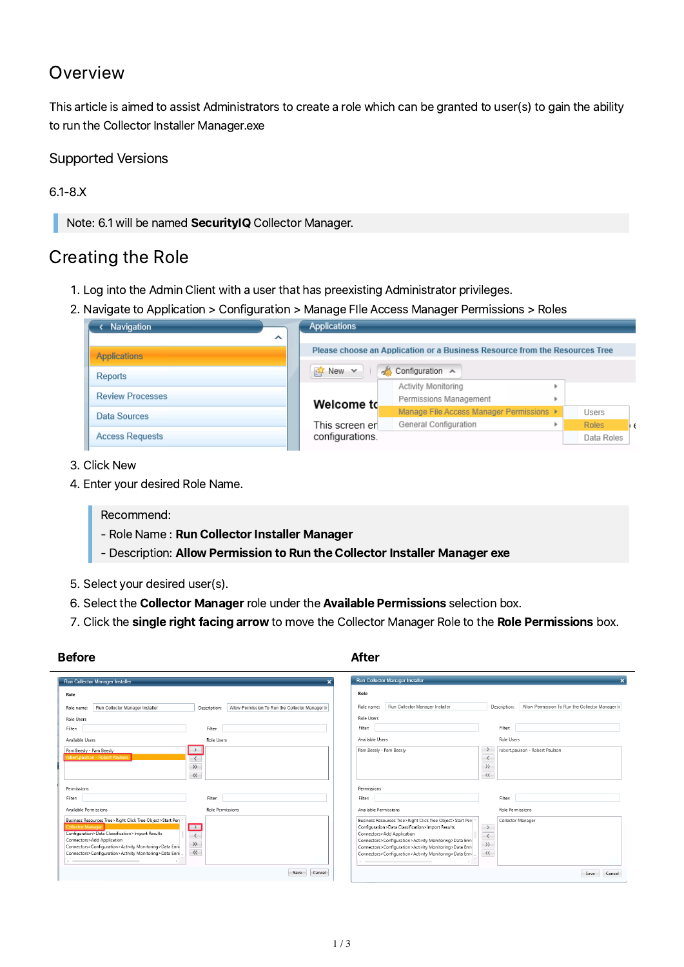## Overview

This article is aimed to assist Administrators to create a role which can be granted to user(s) to gain the ability to run the Collector Installer Manager.exe

## Supported Versions

### 6.1-8.X

Note: 6.1 will be named SecurityIQ Collector Manager.

## Creating the Role

- 1. Log into the Admin Client with a user that has preexisting Administrator privileges.
- . Navigate to Application > Configuration > Manage FIle Access Manager Permissions > Roles

| Navigation              | <b>Applications</b>                                                         |            |
|-------------------------|-----------------------------------------------------------------------------|------------|
| ㅅ                       | Please choose an Application or a Business Resource from the Resources Tree |            |
| <b>Applications</b>     |                                                                             |            |
| <b>Reports</b>          | S Configuration ▲<br><b>i4</b> New ▼                                        |            |
| <b>Review Processes</b> | Activity Monitoring<br>Permissions Management                               |            |
| Data Sources            | Welcome td<br>Manage File Access Manager Permissions ▶                      | Users      |
|                         | General Configuration<br>This screen er                                     | Roles      |
| <b>Access Requests</b>  | configurations.                                                             | Data Roles |

- 3. Click New
- . Enter your desired Role Name.

Recommend:

- Role Name : Run Collector Installer Manager
- Description: Allow Permission to Run the Collector Installer Manager exe
- . Select your desired user(s).
- 6. Select the Collector Manager role under the Available Permissions selection box.
- 7. Click the single right facing arrow to move the Collector Manager Role to the Role Permissions box.

| Run Collector Manager Installer                                                                                                                                                                                                                                                                                                           | Run Collector Manager Installer                                                                                                                                                                                                                                                                                                                                                                                                                                                 |
|-------------------------------------------------------------------------------------------------------------------------------------------------------------------------------------------------------------------------------------------------------------------------------------------------------------------------------------------|---------------------------------------------------------------------------------------------------------------------------------------------------------------------------------------------------------------------------------------------------------------------------------------------------------------------------------------------------------------------------------------------------------------------------------------------------------------------------------|
| Role                                                                                                                                                                                                                                                                                                                                      | Role                                                                                                                                                                                                                                                                                                                                                                                                                                                                            |
| Run Collector Manager Installer                                                                                                                                                                                                                                                                                                           | Run Collector Manager Installer                                                                                                                                                                                                                                                                                                                                                                                                                                                 |
| Allow Permission To Run the Collector Manager In                                                                                                                                                                                                                                                                                          | Allow Permission To Run the Collector Manager In                                                                                                                                                                                                                                                                                                                                                                                                                                |
| Role name:                                                                                                                                                                                                                                                                                                                                | Role name:                                                                                                                                                                                                                                                                                                                                                                                                                                                                      |
| Description:                                                                                                                                                                                                                                                                                                                              | Description:                                                                                                                                                                                                                                                                                                                                                                                                                                                                    |
| <b>Role Users</b>                                                                                                                                                                                                                                                                                                                         | Role Users                                                                                                                                                                                                                                                                                                                                                                                                                                                                      |
| Filter:                                                                                                                                                                                                                                                                                                                                   | <b>Filter:</b>                                                                                                                                                                                                                                                                                                                                                                                                                                                                  |
| Filter:                                                                                                                                                                                                                                                                                                                                   | Filter:                                                                                                                                                                                                                                                                                                                                                                                                                                                                         |
| Role Users                                                                                                                                                                                                                                                                                                                                | Available Users                                                                                                                                                                                                                                                                                                                                                                                                                                                                 |
| Available Users                                                                                                                                                                                                                                                                                                                           | Role Users                                                                                                                                                                                                                                                                                                                                                                                                                                                                      |
| Pam.Beesly - Pam Beesly                                                                                                                                                                                                                                                                                                                   | Pam.Beesly - Pam Beesly                                                                                                                                                                                                                                                                                                                                                                                                                                                         |
| $\rightarrow$                                                                                                                                                                                                                                                                                                                             | robert.paulson - Robert Paulson                                                                                                                                                                                                                                                                                                                                                                                                                                                 |
| robert.paulson - Robert Paulson                                                                                                                                                                                                                                                                                                           | $\rightarrow$                                                                                                                                                                                                                                                                                                                                                                                                                                                                   |
| $\langle$                                                                                                                                                                                                                                                                                                                                 | $\langle$                                                                                                                                                                                                                                                                                                                                                                                                                                                                       |
| $\rangle\rangle$                                                                                                                                                                                                                                                                                                                          | $\rangle\rangle$                                                                                                                                                                                                                                                                                                                                                                                                                                                                |
| $\langle\langle$                                                                                                                                                                                                                                                                                                                          | $\langle \langle$                                                                                                                                                                                                                                                                                                                                                                                                                                                               |
| Permissions                                                                                                                                                                                                                                                                                                                               | Permissions                                                                                                                                                                                                                                                                                                                                                                                                                                                                     |
| <b>Filter:</b>                                                                                                                                                                                                                                                                                                                            | Filter:                                                                                                                                                                                                                                                                                                                                                                                                                                                                         |
| Filter:                                                                                                                                                                                                                                                                                                                                   | Filter:                                                                                                                                                                                                                                                                                                                                                                                                                                                                         |
| Available Permissions                                                                                                                                                                                                                                                                                                                     | Available Permissions                                                                                                                                                                                                                                                                                                                                                                                                                                                           |
| Role Permissions                                                                                                                                                                                                                                                                                                                          | Role Permissions                                                                                                                                                                                                                                                                                                                                                                                                                                                                |
| Business Resources Tree>Right Click Tree Object>Start Per<br>Collector Manager<br>$\frac{1}{\sqrt{2}}$<br>Configuration>Data Classification>Import Results<br>Connectors>Add Application<br>$\rangle\rangle$<br>Connectors>Configuration>Activity Monitoring>Data Enri<br>$\ll$<br>Connectors>Configuration>Activity Monitoring>Data Enri | Business Resources Tree>Right Click Tree Object>Start Per<br>Collector Manager<br>Configuration>Data Classification>Import Results<br>$\rightarrow$<br>Connectors>Add Application<br>$\langle$<br>Connectors>Configuration>Activity Monitoring>Data Enri-<br>$\rangle$<br>Connectors>Configuration>Activity Monitoring>Data Enri<br>$\hspace{0.1em}\triangleleft\hspace{0.1em}\hspace{0.1em}\hspace{0.1em}$<br>Connectors>Configuration>Activity Monitoring>Data Enri<br>$\sim$ |
| Cancel                                                                                                                                                                                                                                                                                                                                    | Cancel                                                                                                                                                                                                                                                                                                                                                                                                                                                                          |
| Save                                                                                                                                                                                                                                                                                                                                      | Save                                                                                                                                                                                                                                                                                                                                                                                                                                                                            |

## Before **After**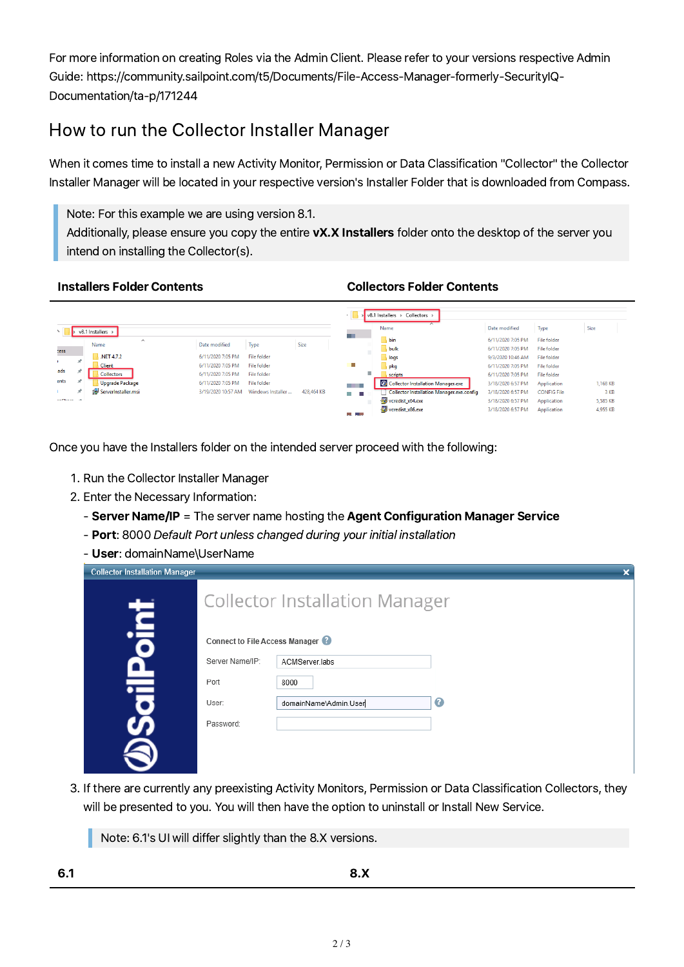For more information on creating Roles via the Admin Client. Please referto your versions respective Admin Guide: https://community.sailpoint.com/t5/Documents/File-Access-Manager-formerly-SecurityIQ-Documentation/ta-p/171244

# How to run the Collector Installer Manager

When it comes time to install a new Activity Monitor, Permission or Data Classification "Collector" the Collector Installer Manager will be located in your respective version's Installer Folder that is downloaded from Compass.

Note: For this example we are using version 8.1.

Additionally, please ensure you copy the entire vX.X Installers folder onto the desktop of the server you intend on installing the Collector(s).

#### Installers Folder Contents Collectors Folder Contents

|                        |   |                        |                    |                    |            |                    | $\sqrt{8.1}$ Installers > Collectors ><br>$\sim$ |                   |                    |          |
|------------------------|---|------------------------|--------------------|--------------------|------------|--------------------|--------------------------------------------------|-------------------|--------------------|----------|
|                        |   | v8.1 Installers >      |                    |                    |            |                    | Name                                             | Date modified     | <b>Type</b>        | Size     |
|                        |   | $\wedge$               |                    |                    |            | <b>COLLEGE</b>     | bin                                              | 6/11/2020 7:05 PM | <b>File folder</b> |          |
| :ess                   |   | Name                   | Date modified      | Type               | Size       |                    | bulk                                             | 6/11/2020 7:05 PM | <b>File folder</b> |          |
|                        | ÷ | NET 4.7.2              | 6/11/2020 7:05 PM  | <b>File folder</b> |            |                    | logs                                             | 9/3/2020 10:46 AM | <b>File folder</b> |          |
|                        |   | <b>Client</b>          | 6/11/2020 7:05 PM  | <b>File folder</b> |            | ш                  | pkg                                              | 6/11/2020 7:05 PM | <b>File folder</b> |          |
| ads                    |   | <b>Collectors</b>      | 6/11/2020 7:05 PM  | <b>File folder</b> |            |                    | scripts                                          | 6/11/2020 7:05 PM | <b>File folder</b> |          |
| ents                   |   | <b>Upgrade Package</b> | 6/11/2020 7:05 PM  | <b>File folder</b> |            | <b>STATISTICS</b>  | Collector Installation Manager.exe               | 3/18/2020 6:57 PM | Application        | 1,168 KB |
| <b>A</b> 1             | я | ServerInstaller.msi    | 3/19/2020 10:57 AM | Windows Installer  | 428,464 KB | m.                 | <b>Collector Installation Manager.exe.config</b> | 3/18/2020 6:57 PM | <b>CONFIG File</b> | 3 KB     |
| and the control of the |   |                        |                    |                    |            |                    | vcredist_x64.exe                                 | 3/18/2020 6:57 PM | Application        | 5,585 KB |
|                        |   |                        |                    |                    |            | <b>State State</b> | vcredist_x86.exe                                 | 3/18/2020 6:57 PM | Application        | 4,955 KB |

Once you have the Installers folder on the intended server proceed with the following:

- . Run the Collector Installer Manager
- 2. Enter the Necessary Information:
	- Server Name/IP = The server name hosting the Agent Configuration Manager Service
	- Port: 8000 Default Port unless changed during your initial installation
	- User: domainName\UserName

| <b>Collector Installation Manager</b> |                                       |                       | × |  |  |  |  |
|---------------------------------------|---------------------------------------|-----------------------|---|--|--|--|--|
| <b>Talc</b>                           | <b>Collector Installation Manager</b> |                       |   |  |  |  |  |
|                                       | Connect to File Access Manager        |                       |   |  |  |  |  |
|                                       | Server Name/IP:                       | ACMServer.labs        |   |  |  |  |  |
| Ξ                                     | Port                                  | 8000                  |   |  |  |  |  |
|                                       | User:                                 | domainName\Admin.User | € |  |  |  |  |
|                                       | Password:                             |                       |   |  |  |  |  |
|                                       |                                       |                       |   |  |  |  |  |

. If there are currently any preexisting Activity Monitors, Permission or Data Classification Collectors, they will be presented to you. You will then have the option to uninstall or Install New Service.

Note: 6.1's UI will differ slightly than the 8.X versions.

6.1 8.X